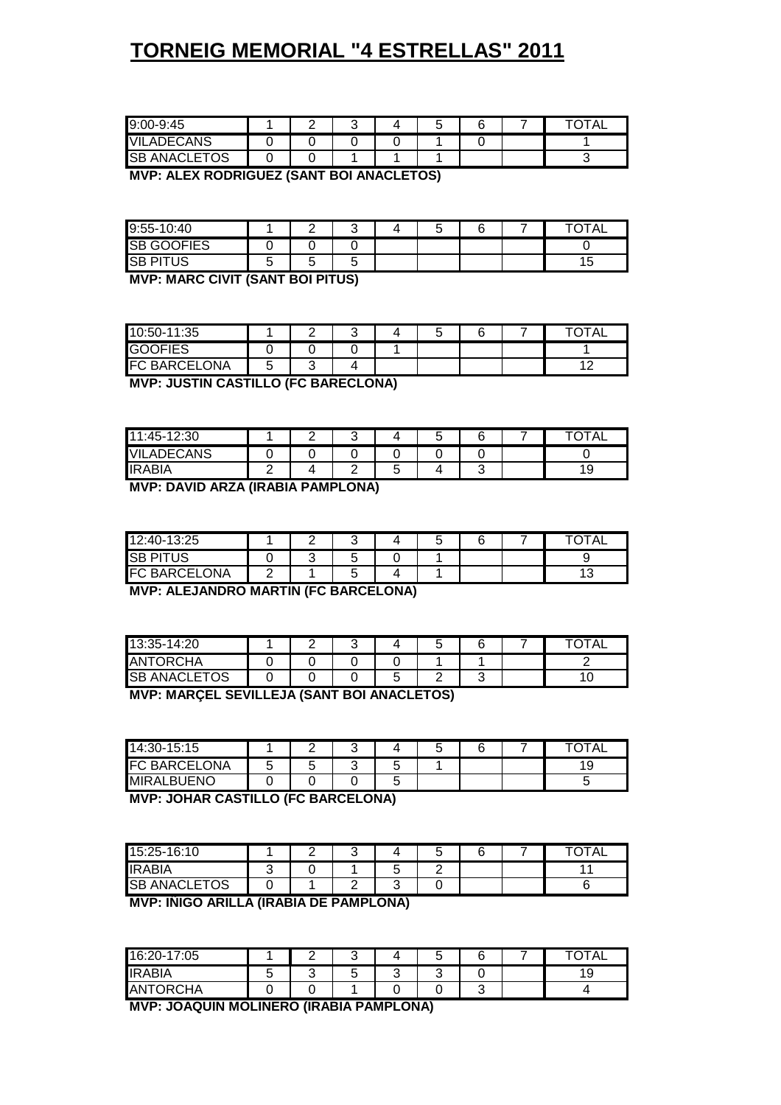| .                                              |  |  |  |
|------------------------------------------------|--|--|--|
| <b>MVP: JOAQUIN MOLINERO (IRABIA PAMPLONA)</b> |  |  |  |

| 16:20-17:05     |        |        | ັ      |   | u      |        | <b>TOTAL</b> |
|-----------------|--------|--------|--------|---|--------|--------|--------------|
| <b>IRABIA</b>   | ∽<br>J | ◠<br>ີ | ∽<br>ັ | ◠ | ⌒<br>ີ |        | 10<br>ت ا    |
| <b>ANTORCHA</b> |        |        |        |   |        | ╭<br>⊾ |              |

**MVP: IÑIGO ARILLA (IRABIA DE PAMPLONA)**

| <b>IRABIA</b>       |  |
|---------------------|--|
|                     |  |
| <b>SB ANACLETOS</b> |  |

**MVP: JOHAR CASTILLO (FC BARCELONA)**

| 14:30-15:15        | ∽ | ີ |   | ີ |  | <b>TAL</b> |
|--------------------|---|---|---|---|--|------------|
| IF(<br>C BARCELONA | ⊾ | ີ | ◡ |   |  | 1 G<br>ت ، |
| <b>MIRALBUENO</b>  |   |   | ◟ |   |  | s.         |

**MVP: MARÇEL SEVILLEJA (SANT BOI ANACLETOS)**

| 13:35-14:20         |  |  |  | TAL |
|---------------------|--|--|--|-----|
| <b>ANTORCHA</b>     |  |  |  |     |
| <b>SB ANACLETOS</b> |  |  |  |     |
|                     |  |  |  |     |

**MVP: ALEJANDRO MARTIN (FC BARCELONA)**

| 12:40-13:25                     |  |   |  |  | <b>TOTAL</b> |
|---------------------------------|--|---|--|--|--------------|
| ISB PI<br>TUS                   |  | ີ |  |  |              |
| <b>\RCELONA</b><br>IF C<br>: RA |  | ີ |  |  | ں ،          |

**MVP: DAVID ARZA (IRABIA PAMPLONA)**

| -12:30<br>$11:45-$     | ◠ | ◠<br>ັ      | ື |  | TAL       |
|------------------------|---|-------------|---|--|-----------|
| WIL.<br><b>ADECANS</b> |   |             |   |  |           |
| ПR<br>'ABIA            |   | $\sim$<br>- |   |  | 10<br>ت ، |

**MVP: JUSTIN CASTILLO (FC BARECLONA)**

| 10:50-11:35                         |        |   | ັ | ∽<br>ີ |  | <b>TAL</b><br>$-\sim$ |
|-------------------------------------|--------|---|---|--------|--|-----------------------|
| <b>GOOFIES</b>                      |        |   |   |        |  |                       |
| <b>ONA</b><br><b>BARCELO</b><br>ட்ட | ∽<br>ັ | ີ |   |        |  | 40                    |

**MVP: MARC CIVIT (SANT BOI PITUS)**

| $9:55-$<br>$-10:40$    |                                    |   | r |  |  | $T \cap T \wedge T$<br>AL. |
|------------------------|------------------------------------|---|---|--|--|----------------------------|
| lSВ<br>iOOFIES<br>`)نى |                                    |   |   |  |  |                            |
| <b>QR</b><br>TUS       | $\overline{\phantom{0}}$<br>∽<br>ັ | ັ |   |  |  | ت                          |

**MVP: ALEX RODRIGUEZ (SANT BOI ANACLETOS)**

| <b>LADECANS</b> | 9:00-9:45           |  |  |  |
|-----------------|---------------------|--|--|--|
|                 |                     |  |  |  |
|                 | <b>SB ANACLETOS</b> |  |  |  |

# **TORNEIG MEMORIAL "4 ESTRELLAS" 2011**